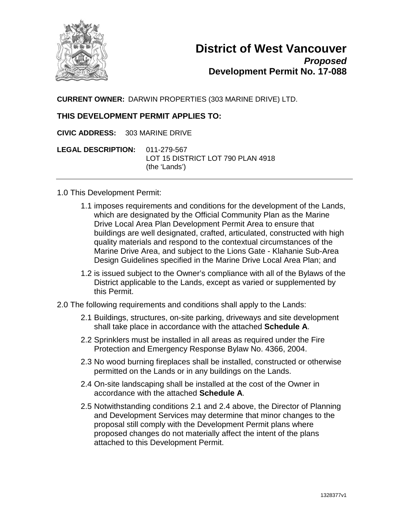

**CURRENT OWNER:** DARWIN PROPERTIES (303 MARINE DRIVE) LTD.

## **THIS DEVELOPMENT PERMIT APPLIES TO:**

**CIVIC ADDRESS:** 303 MARINE DRIVE

**LEGAL DESCRIPTION:** 011-279-567 LOT 15 DISTRICT LOT 790 PLAN 4918 (the 'Lands')

- 1.0 This Development Permit:
	- 1.1 imposes requirements and conditions for the development of the Lands, which are designated by the Official Community Plan as the Marine Drive Local Area Plan Development Permit Area to ensure that buildings are well designated, crafted, articulated, constructed with high quality materials and respond to the contextual circumstances of the Marine Drive Area, and subject to the Lions Gate - Klahanie Sub-Area Design Guidelines specified in the Marine Drive Local Area Plan; and
	- 1.2 is issued subject to the Owner's compliance with all of the Bylaws of the District applicable to the Lands, except as varied or supplemented by this Permit.
- 2.0 The following requirements and conditions shall apply to the Lands:
	- 2.1 Buildings, structures, on-site parking, driveways and site development shall take place in accordance with the attached **Schedule A**.
	- 2.2 Sprinklers must be installed in all areas as required under the Fire Protection and Emergency Response Bylaw No. 4366, 2004.
	- 2.3 No wood burning fireplaces shall be installed, constructed or otherwise permitted on the Lands or in any buildings on the Lands.
	- 2.4 On-site landscaping shall be installed at the cost of the Owner in accordance with the attached **Schedule A**.
	- 2.5 Notwithstanding conditions 2.1 and 2.4 above, the Director of Planning and Development Services may determine that minor changes to the proposal still comply with the Development Permit plans where proposed changes do not materially affect the intent of the plans attached to this Development Permit.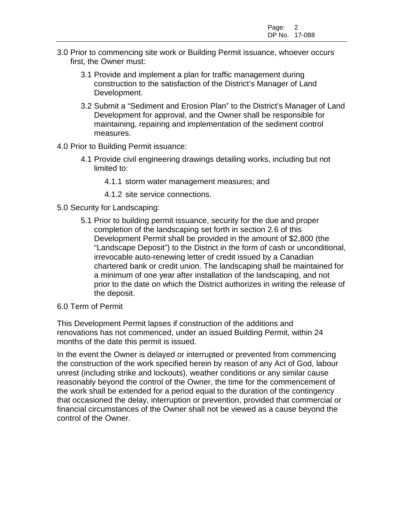- 3.0 Prior to commencing site work or Building Permit issuance, whoever occurs first, the Owner must:
	- 3.1 Provide and implement a plan for traffic management during construction to the satisfaction of the District's Manager of Land Development.
	- 3.2 Submit a "Sediment and Erosion Plan" to the District's Manager of Land Development for approval, and the Owner shall be responsible for maintaining, repairing and implementation of the sediment control measures.
- 4.0 Prior to Building Permit issuance:
	- 4.1 Provide civil engineering drawings detailing works, including but not limited to:
		- 4.1.1 storm water management measures; and
		- 4.1.2 site service connections.
- 5.0 Security for Landscaping:
	- 5.1 Prior to building permit issuance, security for the due and proper completion of the landscaping set forth in section 2.6 of this Development Permit shall be provided in the amount of \$2,800 (the "Landscape Deposit") to the District in the form of cash or unconditional, irrevocable auto-renewing letter of credit issued by a Canadian chartered bank or credit union. The landscaping shall be maintained for a minimum of one year after installation of the landscaping, and not prior to the date on which the District authorizes in writing the release of the deposit.
- 6.0 Term of Permit

This Development Permit lapses if construction of the additions and renovations has not commenced, under an issued Building Permit, within 24 months of the date this permit is issued.

In the event the Owner is delayed or interrupted or prevented from commencing the construction of the work specified herein by reason of any Act of God, labour unrest (including strike and lockouts), weather conditions or any similar cause reasonably beyond the control of the Owner, the time for the commencement of the work shall be extended for a period equal to the duration of the contingency that occasioned the delay, interruption or prevention, provided that commercial or financial circumstances of the Owner shall not be viewed as a cause beyond the control of the Owner.